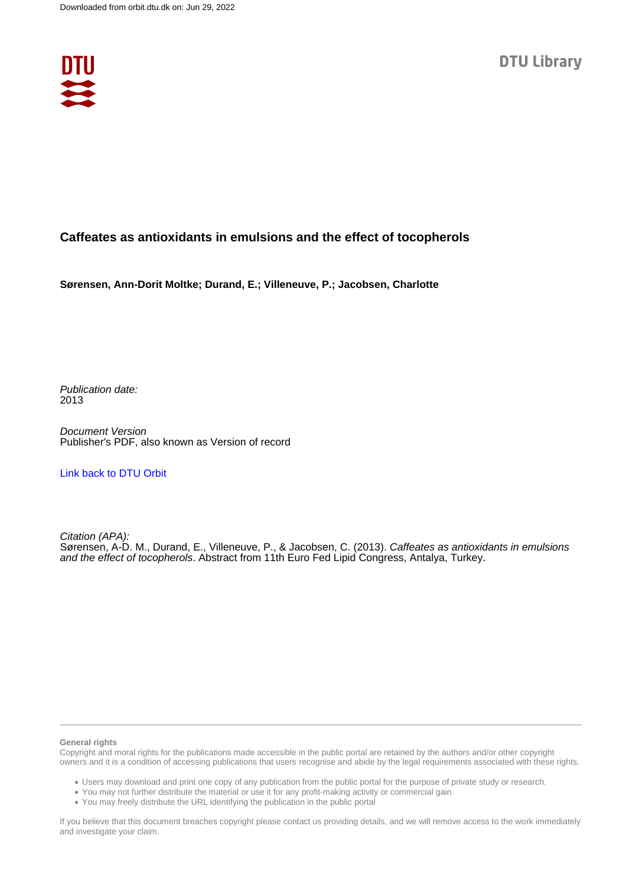

## **Caffeates as antioxidants in emulsions and the effect of tocopherols**

**Sørensen, Ann-Dorit Moltke; Durand, E.; Villeneuve, P.; Jacobsen, Charlotte**

Publication date: 2013

Document Version Publisher's PDF, also known as Version of record

[Link back to DTU Orbit](https://orbit.dtu.dk/en/publications/a9ea638c-575a-40e5-aa42-dedf13ecdc8f)

Citation (APA): Sørensen, A-D. M., Durand, E., Villeneuve, P., & Jacobsen, C. (2013). Caffeates as antioxidants in emulsions and the effect of tocopherols. Abstract from 11th Euro Fed Lipid Congress, Antalya, Turkey.

## **General rights**

Copyright and moral rights for the publications made accessible in the public portal are retained by the authors and/or other copyright owners and it is a condition of accessing publications that users recognise and abide by the legal requirements associated with these rights.

Users may download and print one copy of any publication from the public portal for the purpose of private study or research.

- You may not further distribute the material or use it for any profit-making activity or commercial gain
- You may freely distribute the URL identifying the publication in the public portal

If you believe that this document breaches copyright please contact us providing details, and we will remove access to the work immediately and investigate your claim.